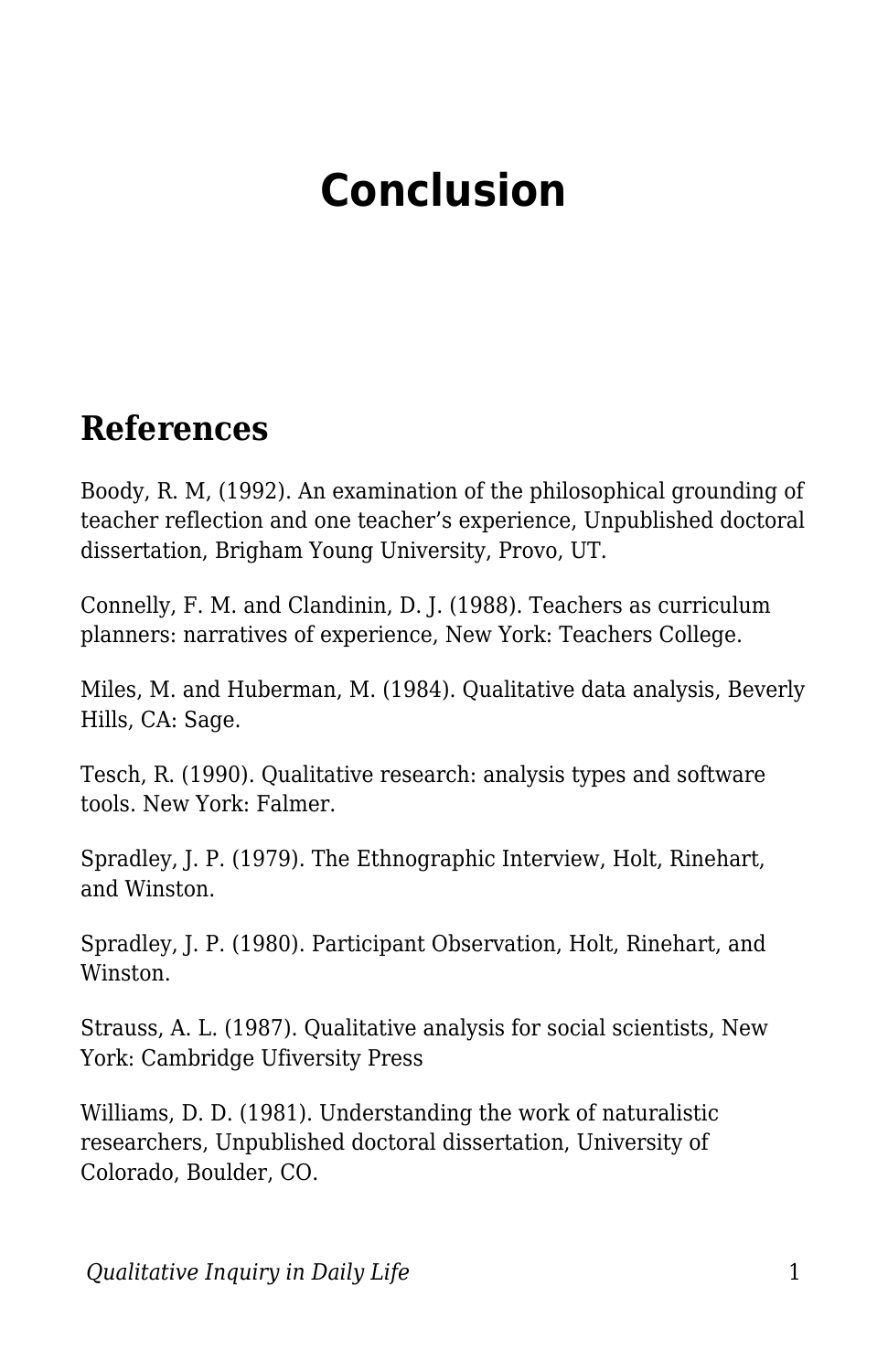## **Conclusion**

## **References**

Boody, R. M, (1992). An examination of the philosophical grounding of teacher reflection and one teacher's experience, Unpublished doctoral dissertation, Brigham Young University, Provo, UT.

Connelly, F. M. and Clandinin, D. J. (1988). Teachers as curriculum planners: narratives of experience, New York: Teachers College.

Miles, M. and Huberman, M. (1984). Qualitative data analysis, Beverly Hills, CA: Sage.

Tesch, R. (1990). Qualitative research: analysis types and software tools. New York: Falmer.

Spradley, J. P. (1979). The Ethnographic Interview, Holt, Rinehart, and Winston.

Spradley, J. P. (1980). Participant Observation, Holt, Rinehart, and Winston.

Strauss, A. L. (1987). Qualitative analysis for social scientists, New York: Cambridge Ufiversity Press

Williams, D. D. (1981). Understanding the work of naturalistic researchers, Unpublished doctoral dissertation, University of Colorado, Boulder, CO.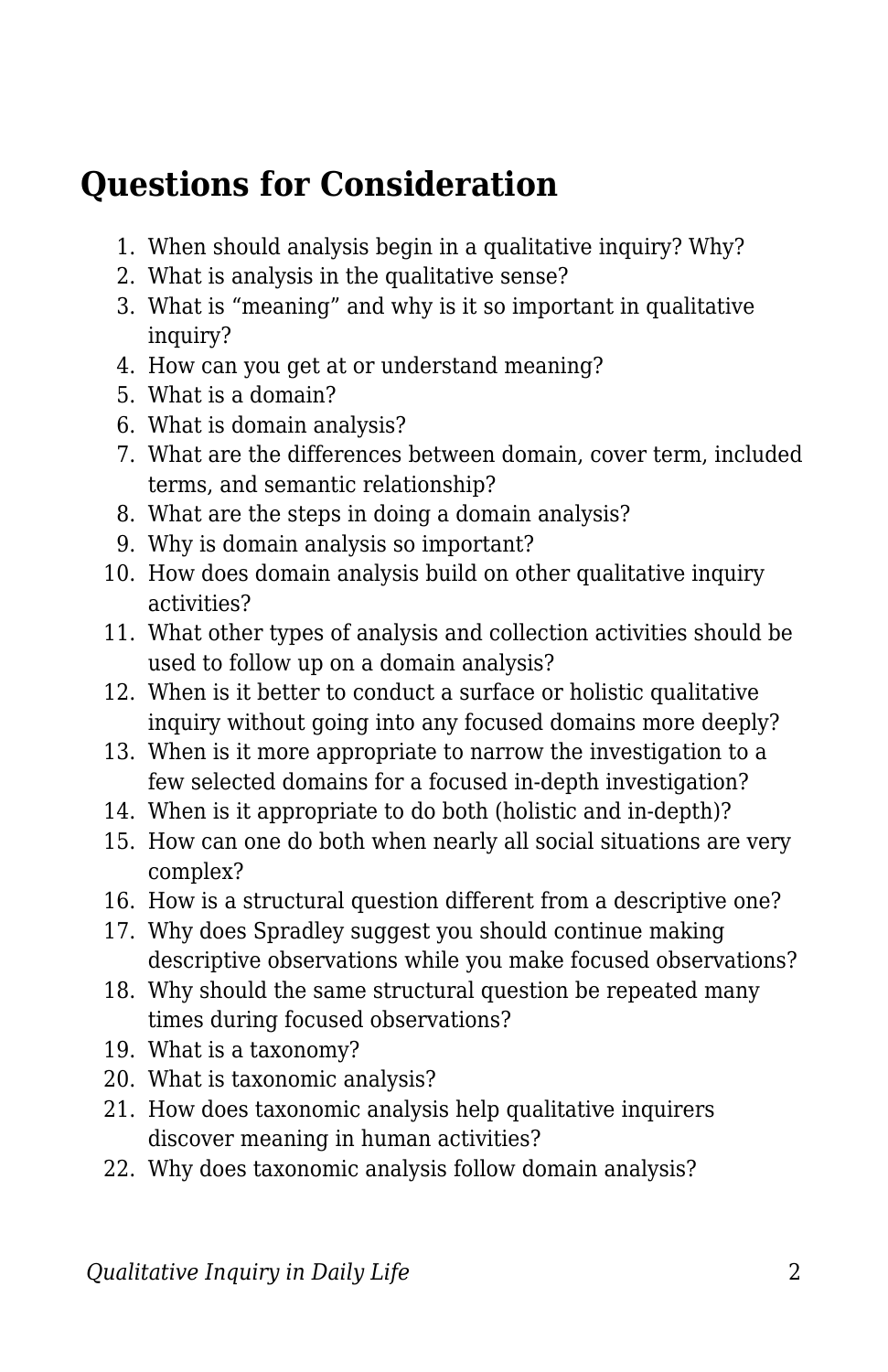## **Questions for Consideration**

- 1. When should analysis begin in a qualitative inquiry? Why?
- 2. What is analysis in the qualitative sense?
- 3. What is "meaning" and why is it so important in qualitative inquiry?
- 4. How can you get at or understand meaning?
- 5. What is a domain?
- 6. What is domain analysis?
- 7. What are the differences between domain, cover term, included terms, and semantic relationship?
- 8. What are the steps in doing a domain analysis?
- 9. Why is domain analysis so important?
- 10. How does domain analysis build on other qualitative inquiry activities?
- 11. What other types of analysis and collection activities should be used to follow up on a domain analysis?
- 12. When is it better to conduct a surface or holistic qualitative inquiry without going into any focused domains more deeply?
- 13. When is it more appropriate to narrow the investigation to a few selected domains for a focused in-depth investigation?
- 14. When is it appropriate to do both (holistic and in-depth)?
- 15. How can one do both when nearly all social situations are very complex?
- 16. How is a structural question different from a descriptive one?
- 17. Why does Spradley suggest you should continue making descriptive observations while you make focused observations?
- 18. Why should the same structural question be repeated many times during focused observations?
- 19. What is a taxonomy?
- 20. What is taxonomic analysis?
- 21. How does taxonomic analysis help qualitative inquirers discover meaning in human activities?
- 22. Why does taxonomic analysis follow domain analysis?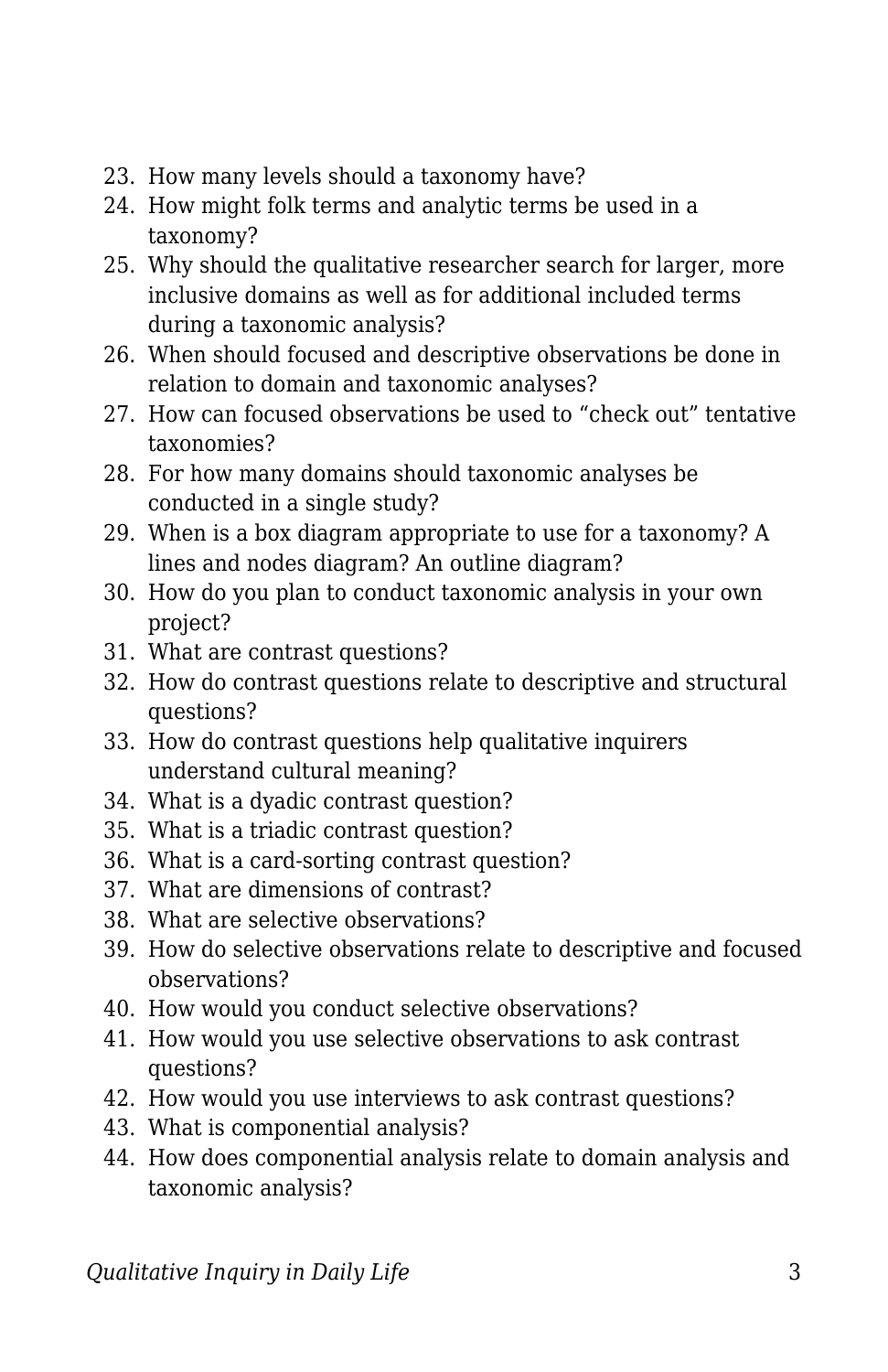- 23. How many levels should a taxonomy have?
- 24. How might folk terms and analytic terms be used in a taxonomy?
- 25. Why should the qualitative researcher search for larger, more inclusive domains as well as for additional included terms during a taxonomic analysis?
- 26. When should focused and descriptive observations be done in relation to domain and taxonomic analyses?
- 27. How can focused observations be used to "check out" tentative taxonomies?
- 28. For how many domains should taxonomic analyses be conducted in a single study?
- 29. When is a box diagram appropriate to use for a taxonomy? A lines and nodes diagram? An outline diagram?
- 30. How do you plan to conduct taxonomic analysis in your own project?
- 31. What are contrast questions?
- 32. How do contrast questions relate to descriptive and structural questions?
- 33. How do contrast questions help qualitative inquirers understand cultural meaning?
- 34. What is a dyadic contrast question?
- 35. What is a triadic contrast question?
- 36. What is a card-sorting contrast question?
- 37. What are dimensions of contrast?
- 38. What are selective observations?
- 39. How do selective observations relate to descriptive and focused observations?
- 40. How would you conduct selective observations?
- 41. How would you use selective observations to ask contrast questions?
- 42. How would you use interviews to ask contrast questions?
- 43. What is componential analysis?
- 44. How does componential analysis relate to domain analysis and taxonomic analysis?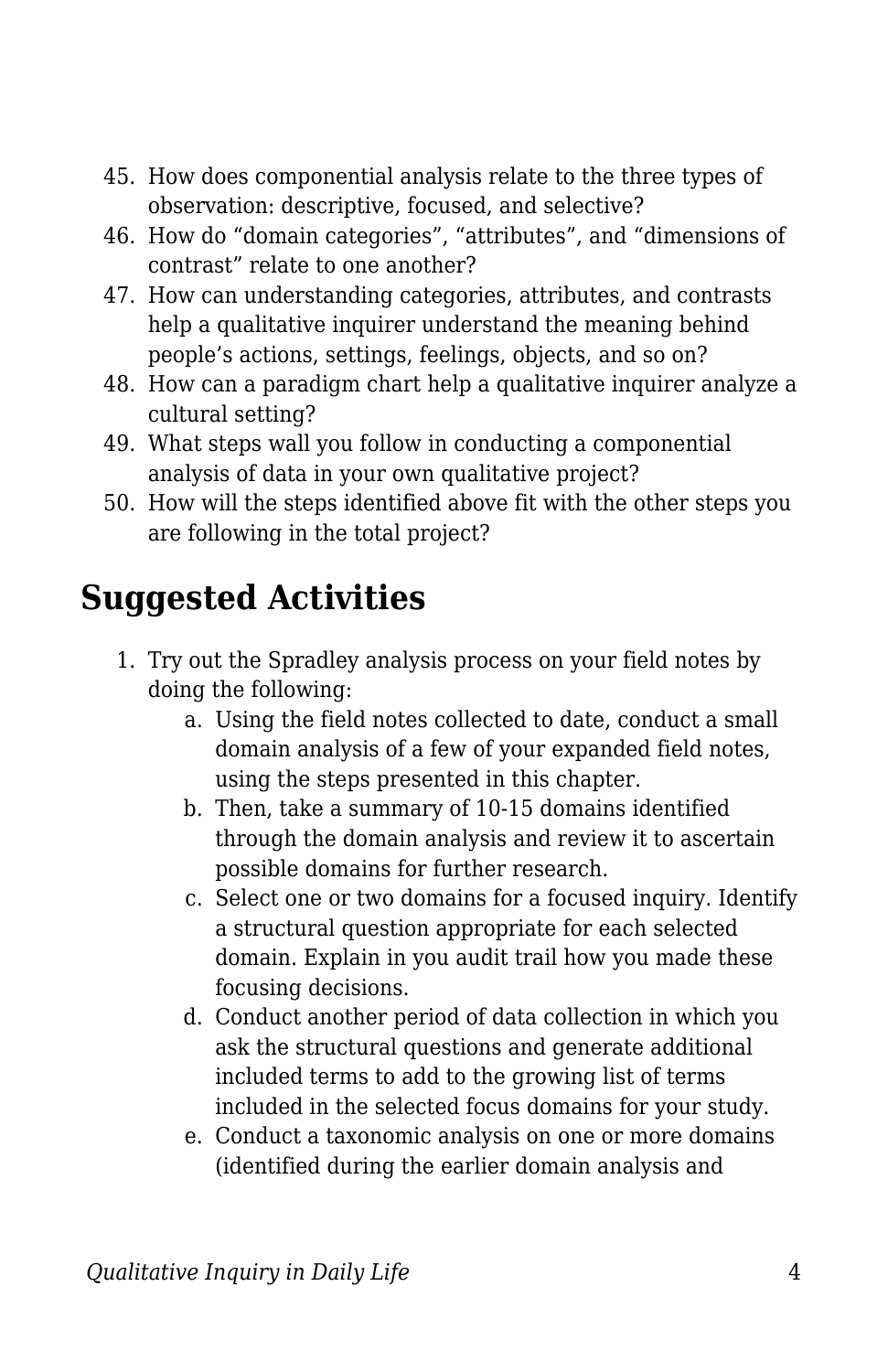- 45. How does componential analysis relate to the three types of observation: descriptive, focused, and selective?
- 46. How do "domain categories", "attributes", and "dimensions of contrast" relate to one another?
- 47. How can understanding categories, attributes, and contrasts help a qualitative inquirer understand the meaning behind people's actions, settings, feelings, objects, and so on?
- 48. How can a paradigm chart help a qualitative inquirer analyze a cultural setting?
- 49. What steps wall you follow in conducting a componential analysis of data in your own qualitative project?
- 50. How will the steps identified above fit with the other steps you are following in the total project?

## **Suggested Activities**

- 1. Try out the Spradley analysis process on your field notes by doing the following:
	- a. Using the field notes collected to date, conduct a small domain analysis of a few of your expanded field notes, using the steps presented in this chapter.
	- b. Then, take a summary of 10-15 domains identified through the domain analysis and review it to ascertain possible domains for further research.
	- c. Select one or two domains for a focused inquiry. Identify a structural question appropriate for each selected domain. Explain in you audit trail how you made these focusing decisions.
	- d. Conduct another period of data collection in which you ask the structural questions and generate additional included terms to add to the growing list of terms included in the selected focus domains for your study.
	- e. Conduct a taxonomic analysis on one or more domains (identified during the earlier domain analysis and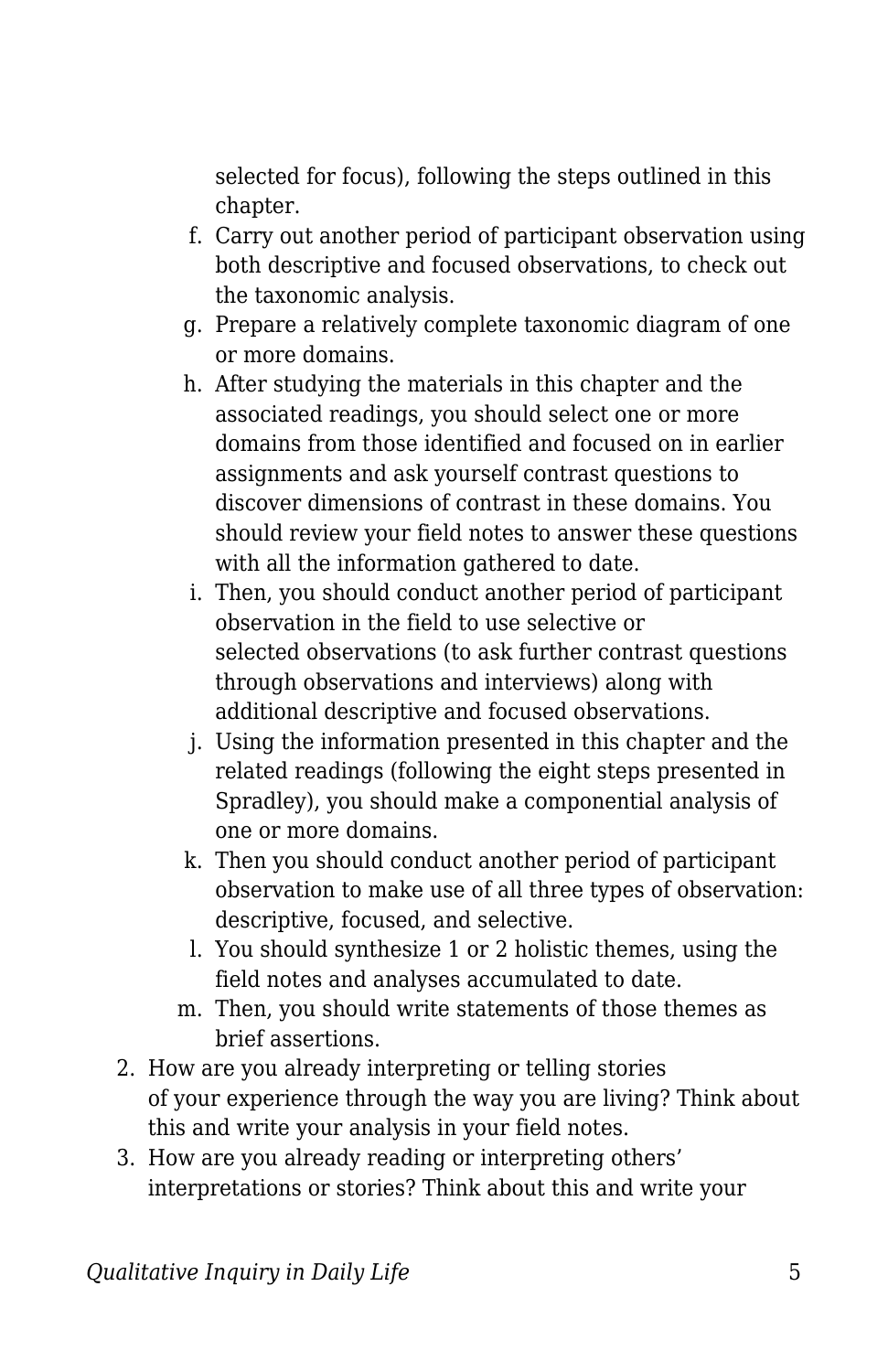selected for focus), following the steps outlined in this chapter.

- f. Carry out another period of participant observation using both descriptive and focused observations, to check out the taxonomic analysis.
- g. Prepare a relatively complete taxonomic diagram of one or more domains.
- h. After studying the materials in this chapter and the associated readings, you should select one or more domains from those identified and focused on in earlier assignments and ask yourself contrast questions to discover dimensions of contrast in these domains. You should review your field notes to answer these questions with all the information gathered to date.
- i. Then, you should conduct another period of participant observation in the field to use selective or selected observations (to ask further contrast questions through observations and interviews) along with additional descriptive and focused observations.
- j. Using the information presented in this chapter and the related readings (following the eight steps presented in Spradley), you should make a componential analysis of one or more domains.
- k. Then you should conduct another period of participant observation to make use of all three types of observation: descriptive, focused, and selective.
- l. You should synthesize 1 or 2 holistic themes, using the field notes and analyses accumulated to date.
- m. Then, you should write statements of those themes as brief assertions.
- 2. How are you already interpreting or telling stories of your experience through the way you are living? Think about this and write your analysis in your field notes.
- 3. How are you already reading or interpreting others' interpretations or stories? Think about this and write your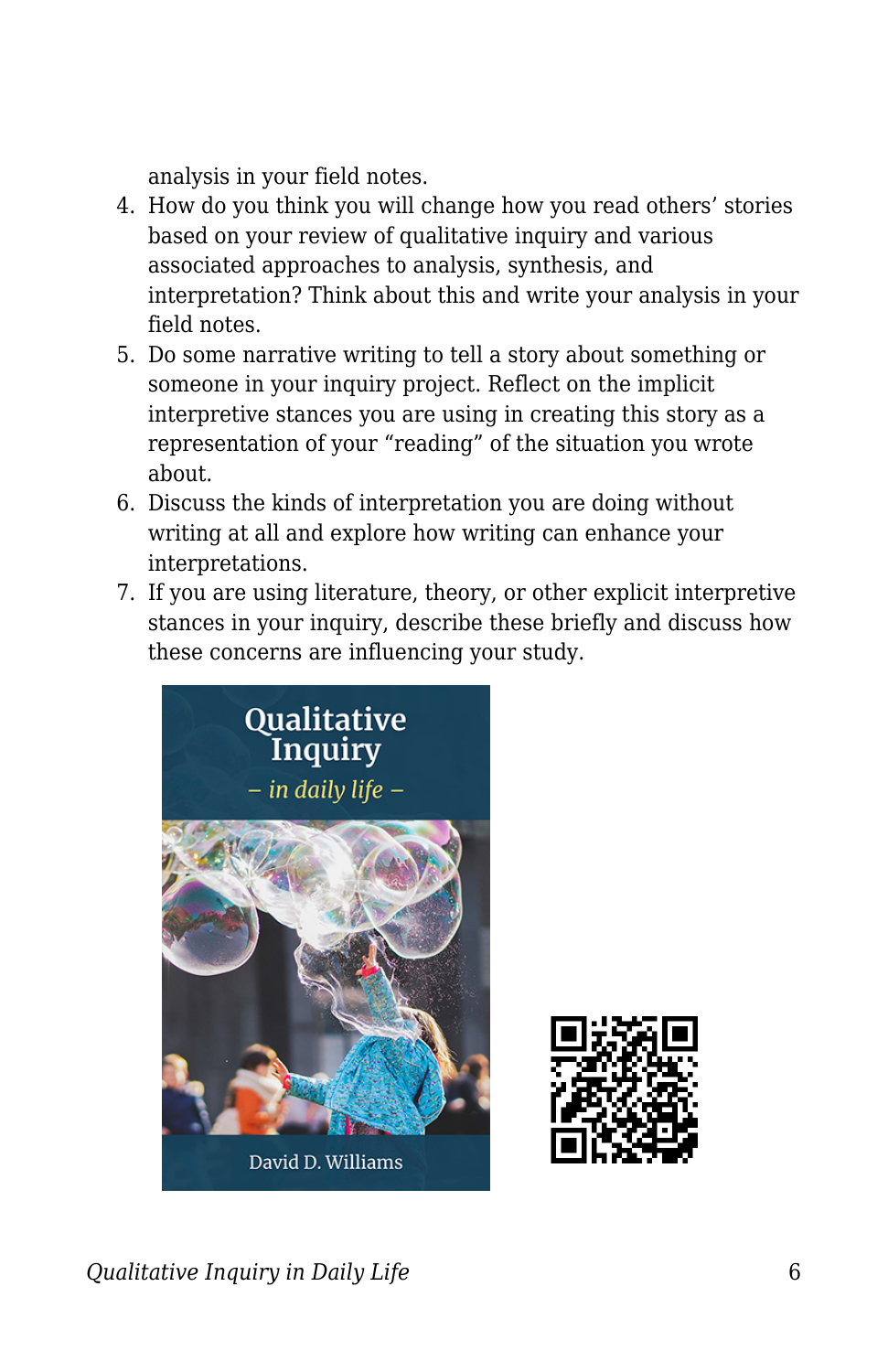analysis in your field notes.

- 4. How do you think you will change how you read others' stories based on your review of qualitative inquiry and various associated approaches to analysis, synthesis, and interpretation? Think about this and write your analysis in your field notes.
- 5. Do some narrative writing to tell a story about something or someone in your inquiry project. Reflect on the implicit interpretive stances you are using in creating this story as a representation of your "reading" of the situation you wrote about.
- 6. Discuss the kinds of interpretation you are doing without writing at all and explore how writing can enhance your interpretations.
- 7. If you are using literature, theory, or other explicit interpretive stances in your inquiry, describe these briefly and discuss how these concerns are influencing your study.





*Qualitative Inquiry in Daily Life* 6